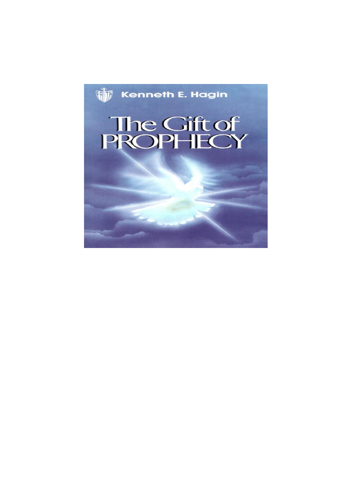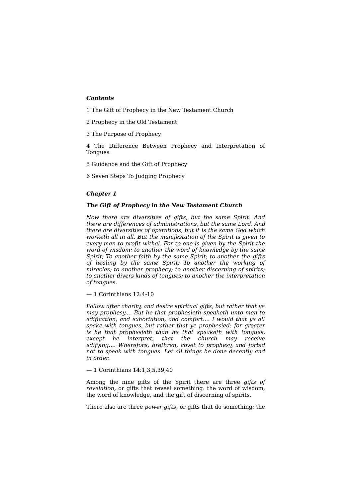# *Contents*

1 The Gift of Prophecy in the New Testament Church

2 Prophecy in the Old Testament

3 The Purpose of Prophecy

4 The Difference Between Prophecy and Interpretation of Tongues

5 Guidance and the Gift of Prophecy

6 Seven Steps To Judging Prophecy

# *Chapter 1*

#### *The Gift of Prophecy in the New Testament Church*

*Now there are diversities of gifts, but the same Spirit. And there are differences of administrations, but the same Lord. And there are diversities of operations, but it is the same God which worketh all in all. But the manifestation of the Spirit is given to every man to profit withal. For to one is given by the Spirit the word of wisdom; to another the word of knowledge by the same Spirit; To another faith by the same Spirit; to another the gifts of healing by the same Spirit; To another the working of miracles; to another prophecy; to another discerning of spirits; to another divers kinds of tongues; to another the interpretation of tongues.*

*—* 1 Corinthians 12:4-10

*Follow after charity, and desire spiritual gifts, but rather that ye may prophesy.... But he that prophesieth speaketh unto men to edification, and exhortation, and comfort.... I would that ye all spake with tongues, but rather that ye prophesied: for greater is he that prophesieth than he that speaketh with tongues, except he interpret, that the church may receive edifying.... Wherefore, brethren, covet to prophesy, and forbid not to speak with tongues. Let all things be done decently and in order.*

*—* 1 Corinthians 14:1,3,5,39,40

Among the nine gifts of the Spirit there are three *gifts of revelation,* or gifts that reveal something: the word of wisdom, the word of knowledge, and the gift of discerning of spirits.

There also are three *power gifts,* or gifts that do something: the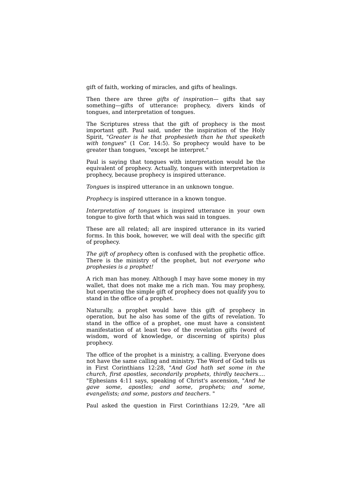gift of faith, working of miracles, and gifts of healings.

Then there are three *gifts of inspiration—* gifts that say something—gifts of utterance: prophecy, divers kinds of tongues, and interpretation of tongues.

The Scriptures stress that the gift of prophecy is the most important gift. Paul said, under the inspiration of the Holy Spirit, *"Greater is he that prophesieth than he that speaketh with tongues"* (1 Cor. 14:5). So prophecy would have to be greater than tongues, "except he interpret."

Paul is saying that tongues with interpretation would be the equivalent of prophecy. Actually, tongues with interpretation *is* prophecy, because prophecy is inspired utterance.

*Tongues* is inspired utterance in an unknown tongue.

*Prophecy* is inspired utterance in a known tongue.

*Interpretation of tongues* is inspired utterance in your own tongue to give forth that which was said in tongues.

These are all related; all are inspired utterance in its varied forms. In this book, however, we will deal with the specific gift of prophecy.

*The gift of prophecy* often is confused with the prophetic office. There is the ministry of the prophet, but *not everyone who prophesies is a prophet!*

A rich man has money. Although I may have some money in my wallet, that does not make me a rich man. You may prophesy, but operating the simple gift of prophecy does not qualify you to stand in the office of a prophet.

Naturally, a prophet would have this gift of prophecy in operation, but he also has some of the gifts of revelation. To stand in the office of a prophet, one must have a consistent manifestation of at least two of the revelation gifts (word of wisdom, word of knowledge, or discerning of spirits) plus prophecy.

The office of the prophet is a ministry, a calling. Everyone does not have the same calling and ministry. The Word of God tells us in First Corinthians 12:28, *"And God hath set some in the church, first apostles, secondarily prophets, thirdly teachers....* "Ephesians 4:11 says, speaking of Christ's ascension, *"And he gave some, apostles; and some, prophets; and some, evangelists; and some, pastors and teachers.* "

Paul asked the question in First Corinthians 12:29, "Are all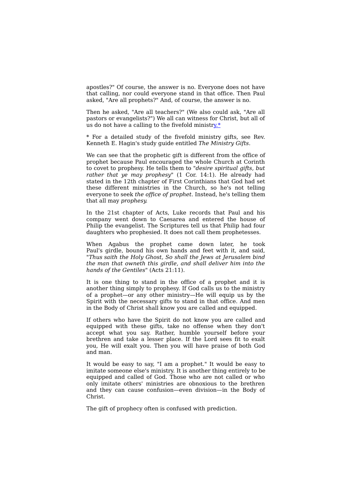apostles?" Of course, the answer is no. Everyone does not have that calling, nor could everyone stand in that office. Then Paul asked, "Are all prophets?" And, of course, the answer is no.

Then he asked, "Are all teachers?" (We also could ask, "Are all pastors or evangelists?") We all can witness for Christ, but all of us do not have a calling to the fivefold ministry. $*$ 

\* For a detailed study of the fivefold ministry gifts, see Rev. Kenneth E. Hagin's study guide entitled *The Ministry Gifts.*

We can see that the prophetic gift is different from the office of prophet because Paul encouraged the whole Church at Corinth to covet to prophesy. He tells them to *"desire spiritual gifts, but rather that ye may prophesy"* (1 Cor. 14:1). He already had stated in the 12th chapter of First Corinthians that God had set these different ministries in the Church, so he's not telling everyone to seek *the office of prophet.* Instead, he's telling them that all may *prophesy.*

In the 21st chapter of Acts, Luke records that Paul and his company went down to Caesarea and entered the house of Philip the evangelist. The Scriptures tell us that Philip had four daughters who prophesied. It does not call them prophetesses.

When Agabus the prophet came down later, he took Paul's girdle, bound his own hands and feet with it, and said, *"Thus saith the Holy Ghost, So shall the Jews at Jerusalem bind the man that owneth this girdle, and shall deliver him into the hands of the Gentiles"* (Acts 21:11).

It is one thing to stand in the office of a prophet and it is another thing simply to prophesy. If God calls us to the ministry of a prophet—or any other ministry—He will equip us by the Spirit with the necessary gifts to stand in that office. And men in the Body of Christ shall know you are called and equipped.

If others who have the Spirit do not know you are called and equipped with these gifts, take no offense when they don't accept what you say. Rather, humble yourself before your brethren and take a lesser place. If the Lord sees fit to exalt you, He will exalt you. Then you will have praise of both God and man.

It would be easy to say, "I am a prophet." It would be easy to imitate someone else's ministry. It is another thing entirely to be equipped and called of God. Those who are not called or who only imitate others' ministries are obnoxious to the brethren and they can cause confusion—even division—in the Body of Christ.

The gift of prophecy often is confused with prediction.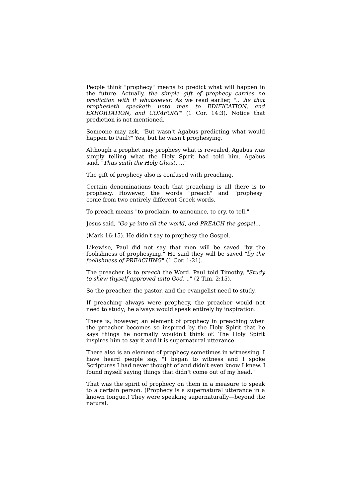People think "prophecy" means to predict what will happen in the future. Actually, *the simple gift of prophecy carries no prediction with it whatsoever.* As we read earlier, ".. *.he that prophesieth speaketh unto men to EDIFICATION, and EXHORTATION, and COMFORT"* (1 Cor. 14:3). Notice that prediction is not mentioned.

Someone may ask, "But wasn't Agabus predicting what would happen to Paul?" Yes, but he wasn't prophesying.

Although a prophet may prophesy what is revealed, Agabus was simply telling what the Holy Spirit had told him. Agabus said, *"Thus saith the Holy Ghost.* ..."

The gift of prophecy also is confused with preaching.

Certain denominations teach that preaching is all there is to prophecy. However, the words "preach" and "prophesy" come from two entirely different Greek words.

To preach means "to proclaim, to announce, to cry, to tell."

Jesus said, *"Go ye into all the world, and PREACH the gospel...* "

(Mark 16:15). He didn't say to prophesy the Gospel.

Likewise, Paul did not say that men will be saved "by the foolishness of prophesying." He said they will be saved *"by the foolishness of PREACHING"* (1 Cor. 1:21).

The preacher is to *preach* the Word. Paul told Timothy, *"Study to shew thyself approved unto God.* .." (2 Tim. 2:15).

So the preacher, the pastor, and the evangelist need to study.

If preaching always were prophecy, the preacher would not need to study; he always would speak entirely by inspiration.

There is, however, an element of prophecy in preaching when the preacher becomes so inspired by the Holy Spirit that he says things he normally wouldn't think of. The Holy Spirit inspires him to say it and it is supernatural utterance.

There also is an element of prophecy sometimes in witnessing. I have heard people say, "I began to witness and I spoke Scriptures I had never thought of and didn't even know I knew. I found myself saying things that didn't come out of my head."

That was the spirit of prophecy on them in a measure to speak to a certain person. (Prophecy is a supernatural utterance in a known tongue.) They were speaking supernaturally—beyond the natural.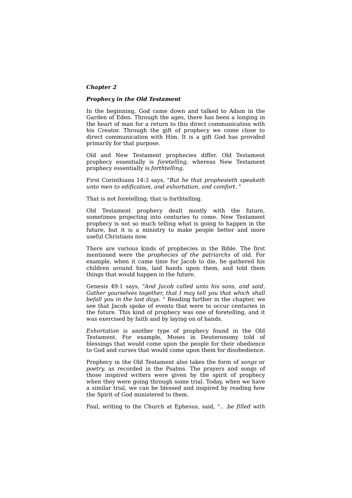# *Chapter 2*

#### *Prophecy in the Old Testament*

In the beginning, God came down and talked to Adam in the Garden of Eden. Through the ages, there has been a longing in the heart of man for a return to this direct communication with his Creator. Through the gift of prophecy we come close to direct communication with Him. It is a gift God has provided primarily for that purpose.

Old and New Testament prophecies differ. Old Testament prophecy essentially is *foretelling,* whereas New Testament prophecy essentially is *forthtelling.*

First Corinthians 14:3 says, *"But he that prophesieth speaketh unto men to edification, and exhortation, and comfort.* "

That is not foretelling; that is forthtelling.

Old Testament prophecy dealt mostly with the future, sometimes projecting into centuries to come. New Testament prophecy is not so much telling what is going to happen in the future, but it is a ministry to make people better and more useful Christians now.

There are various kinds of prophecies in the Bible. The first mentioned were the *prophecies of the patriarchs* of old. For example, when it came time for Jacob to die, he gathered his children around him, laid hands upon them, and told them things that would happen in the future.

Genesis 49:1 says, *"And Jacob called unto his sons, and said, Gather yourselves together, that I may tell you that which shall befall you in the last days.* " Reading further in the chapter, we see that Jacob spoke of events that were to occur centuries in the future. This kind of prophecy was one of foretelling, and it was exercised by faith and by laying on of hands.

*Exhortation* is another type of prophecy found in the Old Testament. For example, Moses in Deuteronomy told of blessings that would come upon the people for their obedience to God and curses that would come upon them for disobedience.

Prophecy in the Old Testament also takes the form of *songs* or *poetry,* as recorded in the Psalms. The prayers and songs of those inspired writers were given by the spirit of prophecy when they were going through some trial. Today, when we have a similar trial, we can be blessed and inspired by reading how the Spirit of God ministered to them.

Paul, writing to the Church at Ephesus, said, ".. *.be filled with*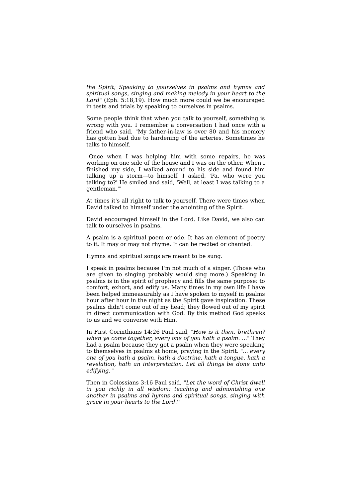*the Spirit; Speaking to yourselves in psalms and hymns and spiritual songs, singing and making melody in your heart to the Lord"* (Eph. 5:18,19). How much more could we be encouraged in tests and trials by speaking to ourselves in psalms.

Some people think that when you talk to yourself, something is wrong with you. I remember a conversation I had once with a friend who said, "My father-in-law is over 80 and his memory has gotten bad due to hardening of the arteries. Sometimes he talks to himself.

"Once when I was helping him with some repairs, he was working on one side of the house and I was on the other. When I finished my side, I walked around to his side and found him talking up a storm—to himself. I asked, 'Pa, who were you talking to?' He smiled and said, 'Well, at least I was talking to a gentleman.'"

At times it's all right to talk to yourself. There were times when David talked to himself under the anointing of the Spirit.

David encouraged himself in the Lord. Like David, we also can talk to ourselves in psalms.

A psalm is a spiritual poem or ode. It has an element of poetry to it. It may or may not rhyme. It can be recited or chanted.

Hymns and spiritual songs are meant to be sung.

I speak in psalms because I'm not much of a singer. (Those who are given to singing probably would sing more.) Speaking in psalms is in the spirit of prophecy and fills the same purpose: to comfort, exhort, and edify us. Many times in my own life I have been helped immeasurably as I have spoken to myself in psalms hour after hour in the night as the Spirit gave inspiration. These psalms didn't come out of my head; they flowed out of my spirit in direct communication with God. By this method God speaks to us and we converse with Him.

In First Corinthians 14:26 Paul said, *"How is it then, brethren? when ye come together, every one of you hath a psalm.* ..." They had a psalm because they got a psalm when they were speaking to themselves in psalms at home, praying in the Spirit. "... *every one of you hath a psalm, hath a doctrine, hath a tongue, hath a revelation, hath an interpretation. Let all things be done unto edifying.* "

Then in Colossians 3:16 Paul said, *"Let the word of Christ dwell in you richly in all wisdom; teaching and admonishing one another in psalms and hymns and spiritual songs, singing with grace in your hearts to the Lord.''*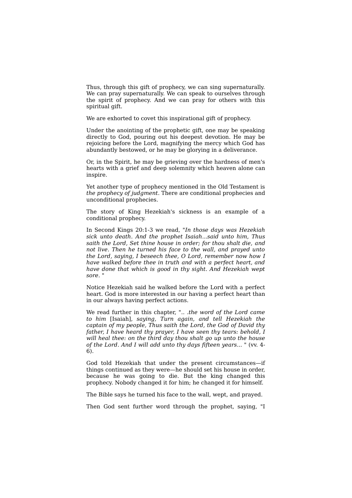Thus, through this gift of prophecy, we can sing supernaturally. We can pray supernaturally. We can speak to ourselves through the spirit of prophecy. And we can pray for others with this spiritual gift.

We are exhorted to covet this inspirational gift of prophecy.

Under the anointing of the prophetic gift, one may be speaking directly to God, pouring out his deepest devotion. He may be rejoicing before the Lord, magnifying the mercy which God has abundantly bestowed, or he may be glorying in a deliverance.

Or, in the Spirit, he may be grieving over the hardness of men's hearts with a grief and deep solemnity which heaven alone can inspire.

Yet another type of prophecy mentioned in the Old Testament is *the prophecy of judgment.* There are conditional prophecies and unconditional prophecies.

The story of King Hezekiah's sickness is an example of a conditional prophecy.

In Second Kings 20:1-3 we read, *"In those days was Hezekiah sick unto death. And the prophet Isaiah...said unto him, Thus saith the Lord, Set thine house in order; for thou shalt die, and not live. Then he turned his face to the wall, and prayed unto the Lord, saying, I beseech thee, O Lord, remember now how I have walked before thee in truth and with a perfect heart, and have done that which is good in thy sight. And Hezekiah wept sore.* "

Notice Hezekiah said he walked before the Lord with a perfect heart. God is more interested in our having a perfect heart than in our always having perfect actions.

We read further in this chapter, ".. *.the word of the Lord came to him* [Isaiah], *saying, Turn again, and tell Hezekiah the captain of my people, Thus saith the Lord, the God of David thy father, I have heard thy prayer, I have seen thy tears: behold, I will heal thee: on the third day thou shalt go up unto the house of the Lord. And I will add unto thy days fifteen years...* " (vv. 4- 6).

God told Hezekiah that under the present circumstances—if things continued as they were—he should set his house in order, because he was going to die. But the king changed this prophecy. Nobody changed it for him; he changed it for himself.

The Bible says he turned his face to the wall, wept, and prayed.

Then God sent further word through the prophet, saying, "I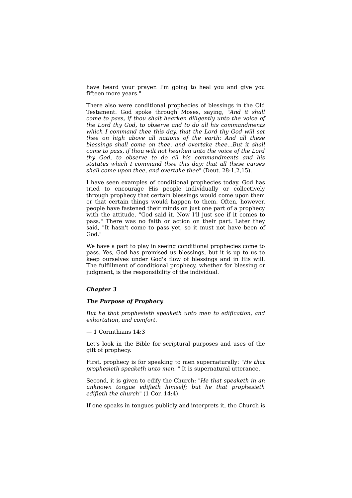have heard your prayer. I'm going to heal you and give you fifteen more years."

There also were conditional prophecies of blessings in the Old Testament. God spoke through Moses, saying, *"And it shall come to pass, if thou shalt hearken diligently unto the voice of the Lord thy God, to observe and to do all his commandments which I command thee this day, that the Lord thy God will set thee on high above all nations of the earth: And all these blessings shall come on thee, and overtake thee...But it shall come to pass, if thou wilt not hearken unto the voice of the Lord thy God, to observe to do all his commandments and his statutes which I command thee this day; that all these curses shall come upon thee, and overtake thee"* (Deut. 28:1,2,15).

I have seen examples of conditional prophecies today. God has tried to encourage His people individually or collectively through prophecy that certain blessings would come upon them or that certain things would happen to them. Often, however, people have fastened their minds on just one part of a prophecy with the attitude, "God said it. Now I'll just see if it comes to pass." There was no faith or action on their part. Later they said, "It hasn't come to pass yet, so it must not have been of God."

We have a part to play in seeing conditional prophecies come to pass. Yes, God has promised us blessings, but it is up to us to keep ourselves under God's flow of blessings and in His will. The fulfillment of conditional prophecy, whether for blessing or judgment, is the responsibility of the individual.

## *Chapter 3*

#### *The Purpose of Prophecy*

*But he that prophesieth speaketh unto men to edification, and exhortation, and comfort.*

*—* 1 Corinthians 14:3

Let's look in the Bible for scriptural purposes and uses of the gift of prophecy.

First, prophecy is for speaking to men supernaturally: *"He that prophesieth speaketh unto men.* " It is supernatural utterance.

Second, it is given to edify the Church: *"He that speaketh in an unknown tongue edifieth himself; but he that prophesieth edifieth the church"* (1 Cor. 14:4).

If one speaks in tongues publicly and interprets it, the Church is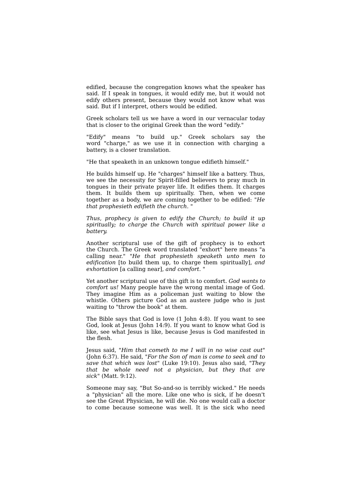edified, because the congregation knows what the speaker has said. If I speak in tongues, it would edify me, but it would not edify others present, because they would not know what was said. But if I interpret, others would be edified.

Greek scholars tell us we have a word in our vernacular today that is closer to the original Greek than the word "edify."

"Edify" means "to build up." Greek scholars say the word "charge," as we use it in connection with charging a battery, is a closer translation.

"He that speaketh in an unknown tongue edifieth himself."

He builds himself up. He "charges" himself like a battery. Thus, we see the necessity for Spirit-filled believers to pray much in tongues in their private prayer life. It edifies them. It charges them. It builds them up spiritually. Then, when we come together as a body, we are coming together to be edified: *"He that prophesieth edifieth the church.* "

*Thus, prophecy is given to edify the Church; to build it up spiritually; to charge the Church with spiritual power like a battery.*

Another scriptural use of the gift of prophecy is to exhort the Church. The Greek word translated "exhort" here means "a calling near." *"He that prophesieth speaketh unto men to edification* [to build them up, to charge them spiritually], *and exhortation* [a calling near], *and comfort.* "

Yet another scriptural use of this gift is to comfort. *God wants to comfort us!* Many people have the wrong mental image of God. They imagine Him as a policeman just waiting to blow the whistle. Others picture God as an austere judge who is just waiting to "throw the book" at them.

The Bible says that God is love (1 John 4:8). If you want to see God, look at Jesus (John 14:9). If you want to know what God is like, see what Jesus is like, because Jesus is God manifested in the flesh.

Jesus said, *"Him that cometh to me I will in no wise cast out"* (John 6:37). He said, *"For the Son of man is come to seek and to save that which was lost"* (Luke 19:10). Jesus also said, *"They that be whole need not a physician, but they that are sick"* (Matt. 9:12).

Someone may say, "But So-and-so is terribly wicked." He needs a "physician" all the more. Like one who is sick, if he doesn't see the Great Physician, he will die. No one would call a doctor to come because someone was well. It is the sick who need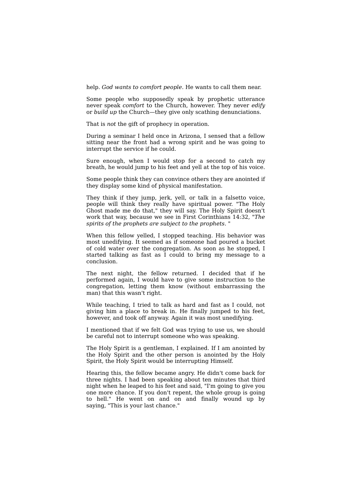help. *God wants to comfort people.* He wants to call them near.

Some people who supposedly speak by prophetic utterance never speak *comfort* to the Church, however. They never *edify* or *build up* the Church—they give only scathing denunciations.

That is *not* the gift of prophecy in operation.

During a seminar I held once in Arizona, I sensed that a fellow sitting near the front had a wrong spirit and he was going to interrupt the service if he could.

Sure enough, when I would stop for a second to catch my breath, he would jump to his feet and yell at the top of his voice.

Some people think they can convince others they are anointed if they display some kind of physical manifestation.

They think if they jump, jerk, yell, or talk in a falsetto voice, people will think they really have spiritual power. "The Holy Ghost made me do that," they will say. The Holy Spirit doesn't work that way, because we see in First Corinthians 14:32, *"The spirits of the prophets are subject to the prophets.* "

When this fellow yelled, I stopped teaching. His behavior was most unedifying. It seemed as if someone had poured a bucket of cold water over the congregation. As soon as he stopped, I started talking as fast as I could to bring my message to a conclusion.

The next night, the fellow returned. I decided that if he performed again, I would have to give some instruction to the congregation, letting them know (without embarrassing the man) that this wasn't right.

While teaching, I tried to talk as hard and fast as I could, not giving him a place to break in. He finally jumped to his feet, however, and took off anyway. Again it was most unedifying.

I mentioned that if we felt God was trying to use us, we should be careful not to interrupt someone who was speaking.

The Holy Spirit is a gentleman, I explained. If I am anointed by the Holy Spirit and the other person is anointed by the Holy Spirit, the Holy Spirit would be interrupting Himself.

Hearing this, the fellow became angry. He didn't come back for three nights. I had been speaking about ten minutes that third night when he leaped to his feet and said, "I'm going to give you one more chance. If you don't repent, the whole group is going to hell." He went on and on and finally wound up by saying, "This is your last chance."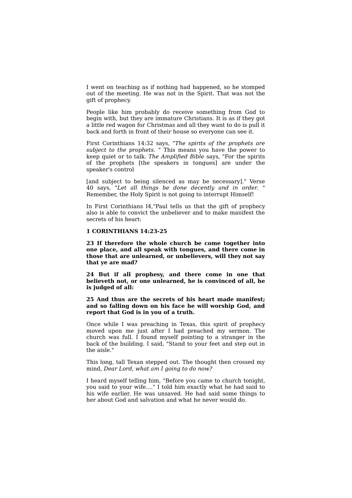I went on teaching as if nothing had happened, so he stomped out of the meeting. He was not in the Spirit. That was not the gift of prophecy.

People like him probably do receive something from God to begin with, but they are immature Christians. It is as if they got a little red wagon for Christmas and all they want to do is pull it back and forth in front of their house so everyone can see it.

First Corinthians 14:32 says, *"The spirits of the prophets are subject to the prophets.* " This means you have the power to keep quiet or to talk. *The Amplified Bible* says, "For the spirits of the prophets [the speakers in tongues] are under the speaker's control

[and subject to being silenced as may be necessary]." Verse 40 says, *"Let all things be done decently and in order.* " Remember, the Holy Spirit is not going to interrupt Himself!

In First Corinthians I4,"Paul tells us that the gift of prophecy also is able to convict the unbeliever and to make manifest the secrets of his heart:

# **1 CORINTHIANS 14:23-25**

**23 If therefore the whole church be come together into one place, and all speak with tongues, and there come in those that are unlearned, or unbelievers, will they not say that ye are mad?**

**24 But if all prophesy, and there come in one that believeth not, or one unlearned, he is convinced of all, he is judged of all:**

**25 And thus are the secrets of his heart made manifest; and so falling down on his face he will worship God, and report that God is in you of a truth.**

Once while I was preaching in Texas, this spirit of prophecy moved upon me just after I had preached my sermon. The church was full. I found myself pointing to a stranger in the back of the building. I said, "Stand to your feet and step out in the aisle."

This long, tall Texan stepped out. The thought then crossed my mind, *Dear Lord, what am I going to do now?*

I heard myself telling him, "Before you came to church tonight, you said to your wife...." I told him exactly what he had said to his wife earlier. He was unsaved. He had said some things to her about God and salvation and what he never would do.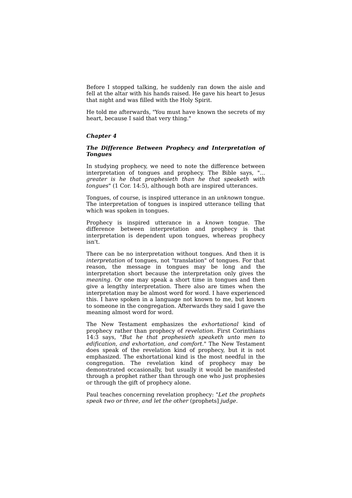Before I stopped talking, he suddenly ran down the aisle and fell at the altar with his hands raised. He gave his heart to Jesus that night and was filled with the Holy Spirit.

He told me afterwards, "You must have known the secrets of my heart, because I said that very thing."

## *Chapter 4*

# *The Difference Between Prophecy and Interpretation of Tongues*

In studying prophecy, we need to note the difference between interpretation of tongues and prophecy. The Bible says, "... *greater is he that prophesieth than he that speaketh with tongues"* (1 Cor. 14:5), although both are inspired utterances.

Tongues, of course, is inspired utterance in an *unknown* tongue. The interpretation of tongues is inspired utterance telling that which was spoken in tongues.

Prophecy is inspired utterance in a *known* tongue. The difference between interpretation and prophecy is that interpretation is dependent upon tongues, whereas prophecy isn't.

There can be no interpretation without tongues. And then it is *interpretation* of tongues, not "translation" of tongues. For that reason, the message in tongues may be long and the interpretation short because the interpretation only gives the *meaning.* Or one may speak a short time in tongues and then give a lengthy interpretation. There also are times when the interpretation may be almost word for word. I have experienced this. I have spoken in a language not known to me, but known to someone in the congregation. Afterwards they said I gave the meaning almost word for word.

The New Testament emphasizes the *exhortational* kind of prophecy rather than prophecy of *revelation.* First Corinthians 14:3 says, *"But he that prophesieth speaketh unto men to edification, and exhortation, and comfort."* The New Testament does speak of the revelation kind of prophecy, but it is not emphasized. The exhortational kind is the most needful in the congregation. The revelation kind of prophecy may be demonstrated occasionally, but usually it would be manifested through a prophet rather than through one who just prophesies or through the gift of prophecy alone.

Paul teaches concerning revelation prophecy: *"Let the prophets speak two or three, and let the other* (prophets] *judge.*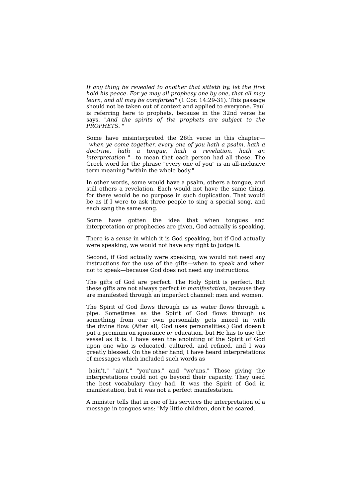*If any thing be revealed to another that sitteth by, let the first hold his peace. For ye may all prophesy one by one, that all may learn, and all may be comforted"* (1 Cor. 14:29-31). This passage should not be taken out of context and applied to everyone. Paul is referring here to prophets, because in the 32nd verse he says, *"And the spirits of the prophets are subject to the PROPHETS.* "

Some have misinterpreted the 26th verse in this chapter— *"when ye come together, every one of you hath a psalm, hath a doctrine, hath a tongue, hath a revelation, hath an interpretation* "—to mean that each person had all these. The Greek word for the phrase "every one of you" is an all-inclusive term meaning "within the whole body."

In other words, some would have a psalm, others a tongue, and still others a revelation. Each would not have the same thing, for there would be no purpose in such duplication. That would be as if I were to ask three people to sing a special song, and each sang the same song.

Some have gotten the idea that when tongues and interpretation or prophecies are given, God actually is speaking.

There is a *sense* in which it is God speaking, but if God actually were speaking, we would not have any right to judge it.

Second, if God actually were speaking, we would not need any instructions for the use of the gifts—when to speak and when not to speak—because God does not need any instructions.

The gifts of God are perfect. The Holy Spirit is perfect. But these gifts are not always perfect *in manifestation,* because they are manifested through an imperfect channel: men and women.

The Spirit of God flows through us as water flows through a pipe. Sometimes as the Spirit of God flows through us something from our own personality gets mixed in with the divine flow. (After all, God uses personalities.) God doesn't put a premium on ignorance *or* education, but He has to use the vessel as it is. I have seen the anointing of the Spirit of God upon one who is educated, cultured, and refined, and I was greatly blessed. On the other hand, I have heard interpretations of messages which included such words as

"hain't," "ain't," "you'uns," and "we'uns." Those giving the interpretations could not go beyond their capacity. They used the best vocabulary they had. It was the Spirit of God in manifestation, but it was not a perfect manifestation.

A minister tells that in one of his services the interpretation of a message in tongues was: "My little children, don't be scared.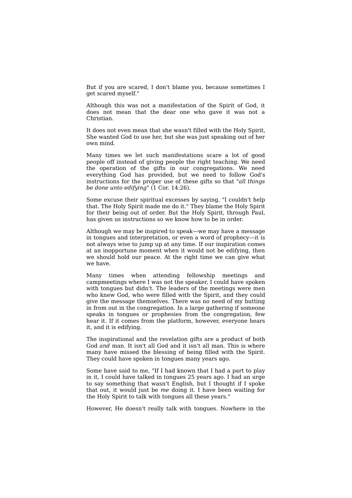But if you are scared, I don't blame you, because sometimes I get scared myself."

Although this was not a manifestation of the Spirit of God, it does not mean that the dear one who gave it was not a Christian.

It does not even mean that she wasn't filled with the Holy Spirit, She wanted God to use her, but she was just speaking out of her own mind.

Many times we let such manifestations scare a lot of good people off instead of giving people the right teaching. We need the operation of the gifts in our congregations. We need everything God has provided, but we need to follow God's instructions for the proper use of these gifts so that *"all things be done unto edifying"* (1 Cor. 14:26).

Some excuse their spiritual excesses by saying, "I couldn't help that. The Holy Spirit made me do it." They blame the Holy Spirit for their being out of order. But the Holy Spirit, through Paul, has given us instructions so we know how to be in order.

Although we may be inspired to speak—we may have a message in tongues and interpretation, or even a word of prophecy—it is not always wise to jump up at any time. If our inspiration comes at an inopportune moment when it would not be edifying, then we should hold our peace. At the right time we can give what we have.

Many times when attending fellowship meetings and campmeetings where I was not the speaker, I could have spoken with tongues but didn't. The leaders of the meetings were men who knew God, who were filled with the Spirit, and they could give the message themselves. There was no need of my butting in from out in the congregation. In a large gathering if someone speaks in tongues or prophesies from the congregation, few hear it. If it comes from the platform, however, everyone hears it, and it is edifying.

The inspirational and the revelation gifts are a product of both God *and* man. It isn't all God and it isn't all man. This is where many have missed the blessing of being filled with the Spirit. They could have spoken in tongues many years ago.

Some have said to me, "If I had known that I had a part to play in it, I could have talked in tongues 25 years ago. I had an urge to say something that wasn't English, but I thought if I spoke that out, it would just be *me* doing it. I have been waiting for the Holy Spirit to talk with tongues all these years."

However, He doesn't really talk with tongues. Nowhere in the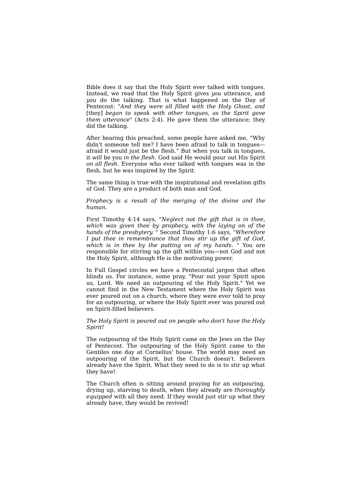Bible does it say that the Holy Spirit ever talked with tongues. Instead, we read that the Holy Spirit gives *you* utterance, and *you* do the talking. That is what happened on the Day of Pentecost: *"And they were all filled with the Holy Ghost, and* [they] *began to speak with other tongues, as the Spirit gave them utterance"* (Acts 2:4). He gave them the utterance; they did the talking.

After hearing this preached, some people have asked me, "Why didn't someone tell me? I have been afraid to talk in tongues afraid it would just be the flesh." But when you talk in tongues, it *will* be you *in the flesh.* God said He would pour out His Spirit *on all flesh.* Everyone who ever talked with tongues was in the flesh, but he was inspired by the Spirit.

The same thing is true with the inspirational and revelation gifts of God. They are a product of both man and God.

*Prophecy is a result of the merging of the divine and the human.*

First Timothy 4:14 says, *"Neglect not the gift that is in thee, which was given thee by prophecy, with the laying on of the hands of the presbytery.* " Second Timothy 1:6 says, *"Wherefore I put thee in remembrance that thou stir up the gift of God, which is in thee by the putting on of my hands.* " You are responsible for stirring up the gift within you—not God and not the Holy Spirit, although He is the motivating power.

In Full Gospel circles we have a Pentecostal jargon that often blinds us. For instance, some pray, "Pour out your Spirit upon us, Lord. We need an outpouring of the Holy Spirit." Yet we cannot find in the New Testament where the Holy Spirit was ever poured out on a church, where they were ever told to pray for an outpouring, or where the Holy Spirit ever was poured out on Spirit-filled believers.

*The Holy Spirit is poured out on people who don't have the Holy Spirit!*

The outpouring of the Holy Spirit came on the Jews on the Day of Pentecost. The outpouring of the Holy Spirit came to the Gentiles one day at Cornelius' house. The world may need an outpouring of the Spirit, but the Church doesn't. Believers already have the Spirit. What they need to do is to stir up what they have!

The Church often is sitting around praying for an outpouring, drying up, starving to death, when they already are *thoroughly equipped* with all they need. If they would just stir up what they already have, they would be revived!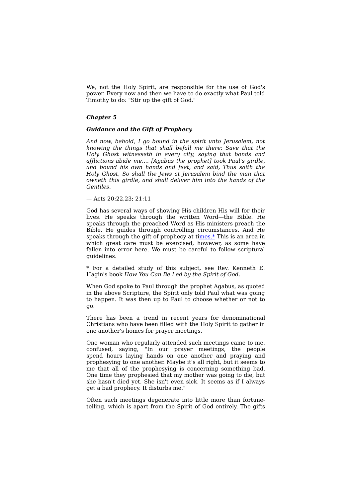We, not the Holy Spirit, are responsible for the use of God's power. Every now and then we have to do exactly what Paul told Timothy to do: "Stir up the gift of God."

#### *Chapter 5*

#### *Guidance and the Gift of Prophecy*

*And now, behold, I go bound in the spirit unto Jerusalem, not knowing the things that shall befall me there: Save that the Holy Ghost witnesseth in every city, saying that bonds and afflictions abide me.... [Agabus the prophet] took Paul's girdle, and bound his own hands and feet, and said, Thus saith the Holy Ghost, So shall the Jews at Jerusalem bind the man that owneth this girdle, and shall deliver him into the hands of the Gentiles.*

## *—* Acts 20:22,23; 21:11

God has several ways of showing His children His will for their lives. He speaks through the written Word—the Bible. He speaks through the preached Word as His ministers preach the Bible. He guides through controlling circumstances. And He speaks through the gift of prophecy at times.\* This is an area in which great care must be exercised, however, as some have fallen into error here. We must be careful to follow scriptural guidelines.

\* For a detailed study of this subject, see Rev. Kenneth E. Hagin's book *How You Can Be Led by the Spirit of God.*

When God spoke to Paul through the prophet Agabus, as quoted in the above Scripture, the Spirit only told Paul what was going to happen. It was then up to Paul to choose whether or not to go.

There has been a trend in recent years for denominational Christians who have been filled with the Holy Spirit to gather in one another's homes for prayer meetings.

One woman who regularly attended such meetings came to me, confused, saying, "In our prayer meetings, the people spend hours laying hands on one another and praying and prophesying to one another. Maybe it's all right, but it seems to me that all of the prophesying is concerning something bad. One time they prophesied that my mother was going to die, but she hasn't died yet. She isn't even sick. It seems as if I always get a bad prophecy. It disturbs me."

Often such meetings degenerate into little more than fortunetelling, which is apart from the Spirit of God entirely. The gifts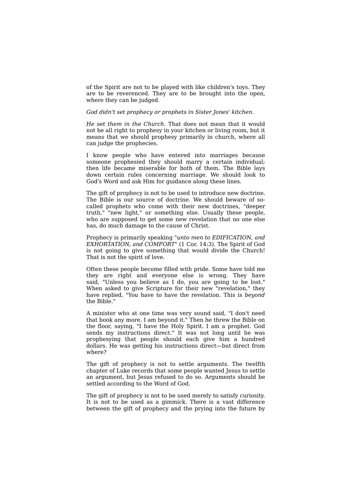of the Spirit are not to be played with like children's toys. They are to be reverenced. They are to be brought into the open, where they can be judged.

#### *God didn't set prophecy or prophets in Sister Jones' kitchen.*

*He set them in the Church.* That does not mean that it would not be all right to prophesy in your kitchen or living room, but it means that we should prophesy primarily in church, where all can judge the prophecies.

I know people who have entered into marriages because someone prophesied they should marry a certain individual; then life became miserable for both of them. The Bible lays down certain rules concerning marriage. We should look to God's Word and ask Him for guidance along these lines.

The gift of prophecy is not to be used to introduce new doctrine. The Bible is our source of doctrine. We should beware of socalled prophets who come with their new doctrines, "deeper truth," "new light," or something else. Usually these people, who are supposed to get some new revelation that no one else has, do much damage to the cause of Christ.

Prophecy is primarily speaking *"unto men to EDIFICATION, and EXHORTATION, and COMFORT"* (1 Cor. 14:3). The Spirit of God is not going to give something that would divide the Church! That is not the spirit of love.

Often these people become filled with pride. Some have told me they are right and everyone else is wrong. They have said, "Unless you believe as I do, you are going to be lost." When asked to give Scripture for their new "revelation," they have replied, "You have to have the revelation. This is *beyond* the Bible."

A minister who at one time was very sound said, "I don't need that book any more. I am beyond it." Then he threw the Bible on the floor, saying, "I have the Holy Spirit. I am a prophet. God sends my instructions direct." It was not long until he was prophesying that people should each give him a hundred dollars. He was getting his instructions direct—but direct from where?

The gift of prophecy is not to settle arguments. The twelfth chapter of Luke records that some people wanted Jesus to settle an argument, but Jesus refused to do so. Arguments should be settled according to the Word of God.

The gift of prophecy is not to be used merely to satisfy curiosity. It is not to be used as a gimmick. There is a vast difference between the gift of prophecy and the prying into the future by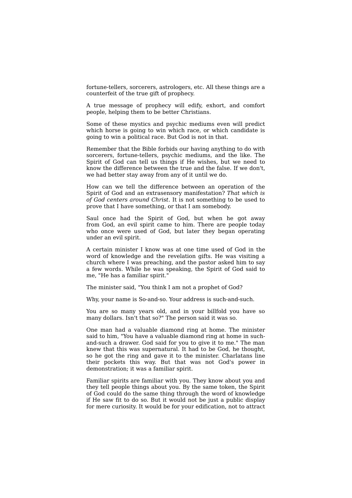fortune-tellers, sorcerers, astrologers, etc. All these things are a counterfeit of the true gift of prophecy.

A true message of prophecy will edify, exhort, and comfort people, helping them to be better Christians.

Some of these mystics and psychic mediums even will predict which horse is going to win which race, or which candidate is going to win a political race. But God is not in that.

Remember that the Bible forbids our having anything to do with sorcerers, fortune-tellers, psychic mediums, and the like. The Spirit of God can tell us things if He wishes, but we need to know the difference between the true and the false. If we don't, we had better stay away from any of it until we do.

How can we tell the difference between an operation of the Spirit of God and an extrasensory manifestation? *That which is of God centers around Christ.* It is not something to be used to prove that I have something, or that I am somebody.

Saul once had the Spirit of God, but when he got away from God, an evil spirit came to him. There are people today who once were used of God, but later they began operating under an evil spirit.

A certain minister I know was at one time used of God in the word of knowledge and the revelation gifts. He was visiting a church where I was preaching, and the pastor asked him to say a few words. While he was speaking, the Spirit of God said to me, "He has a familiar spirit."

The minister said, "You think I am not a prophet of God?

Why, your name is So-and-so. Your address is such-and-such.

You are so many years old, and in your billfold you have so many dollars. Isn't that so?" The person said it was so.

One man had a valuable diamond ring at home. The minister said to him, "You have a valuable diamond ring at home in suchand-such a drawer. God said for you to give it to me." The man knew that this was supernatural. It had to be God, he thought, so he got the ring and gave it to the minister. Charlatans line their pockets this way. But that was not God's power in demonstration; it was a familiar spirit.

Familiar spirits are familiar with you. They know about you and they tell people things about you. By the same token, the Spirit of God could do the same thing through the word of knowledge if He saw fit to do so. But it would not be just a public display for mere curiosity. It would be for your edification, not to attract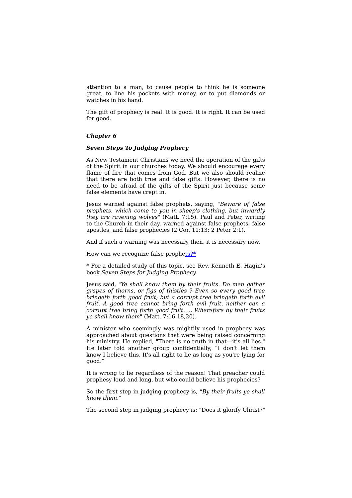attention to a man, to cause people to think he is someone great, to line his pockets with money, or to put diamonds or watches in his hand.

The gift of prophecy is real. It is good. It is right. It can be used for good.

## *Chapter 6*

## *Seven Steps To Judging Prophecy*

As New Testament Christians we need the operation of the gifts of the Spirit in our churches today. We should encourage every flame of fire that comes from God. But we also should realize that there are both true and false gifts. However, there is no need to be afraid of the gifts of the Spirit just because some false elements have crept in.

Jesus warned against false prophets, saying, *"Beware of false prophets, which come to you in sheep's clothing, but inwardly they are ravening wolves"* (Matt. 7:15). Paul and Peter, writing to the Church in their day, warned against false prophets, false apostles, and false prophecies (2 Cor. 11:13; 2 Peter 2:1).

And if such a warning was necessary then, it is necessary now.

How can we recognize false prophets?\*

\* For a detailed study of this topic, see Rev. Kenneth E. Hagin's book *Seven Steps for Judging Prophecy.*

Jesus said, *"Ye shall know them by their fruits. Do men gather grapes of thorns, or figs of thistles ? Even so every good tree bringeth forth good fruit; but a corrupt tree bringeth forth evil fruit. A good tree cannot bring forth evil fruit, neither can a corrupt tree bring forth good fruit. ... Wherefore by their fruits ye shall know them"* (Matt. 7:16-18,20).

A minister who seemingly was mightily used in prophecy was approached about questions that were being raised concerning his ministry. He replied, "There is no truth in that—it's all lies." He later told another group confidentially, "I don't let them know I believe this. It's all right to lie as long as you're lying for good."

It is wrong to lie regardless of the reason! That preacher could prophesy loud and long, but who could believe his prophecies?

So the first step in judging prophecy is, "*By their fruits ye shall know them."*

The second step in judging prophecy is: "Does it glorify Christ?"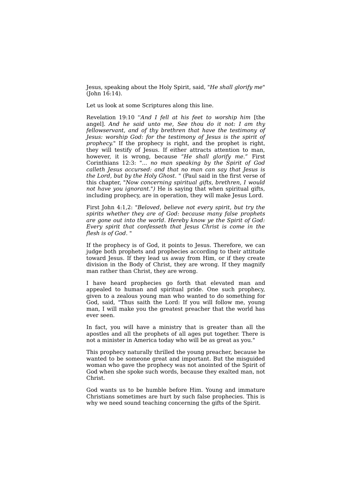Jesus, speaking about the Holy Spirit, said, *"He shall glorify me"* (John 16:14).

Let us look at some Scriptures along this line.

Revelation 19:10 *''And I fell at his feet to worship him* [the angel]. *And he said unto me, See thou do it not: I am thy fellowservant, and of thy brethren that have the testimony of Jesus: worship God: for the testimony of Jesus is the spirit of prophecy."* If the prophecy is right, and the prophet is right, they will testify of Jesus. If either attracts attention to man, however, it is wrong, because *"He shall glorify me."* First Corinthians 12:3: "... *no man speaking by the Spirit of God calleth Jesus accursed: and that no man can say that Jesus is the Lord, but by the Holy Ghost.* " (Paul said in the first verse of this chapter, *"Now concerning spiritual gifts, brethren, I would not have you ignorant.")* He is saying that when spiritual gifts, including prophecy, are in operation, they will make Jesus Lord.

First John 4:1,2: *"Beloved, believe not every spirit, but try the spirits whether they are of God: because many false prophets are gone out into the world. Hereby know ye the Spirit of God: Every spirit that confesseth that Jesus Christ is come in the flesh is of God.* "

If the prophecy is of God, it points to Jesus. Therefore, we can judge both prophets and prophecies according to their attitude toward Jesus. If they lead us away from Him, or if they create division in the Body of Christ, they are wrong. If they magnify man rather than Christ, they are wrong.

I have heard prophecies go forth that elevated man and appealed to human and spiritual pride. One such prophecy, given to a zealous young man who wanted to do something for God, said, "Thus saith the Lord: If you will follow me, young man, I will make you the greatest preacher that the world has ever seen.

In fact, you will have a ministry that is greater than all the apostles and all the prophets of all ages put together. There is not a minister in America today who will be as great as you."

This prophecy naturally thrilled the young preacher, because he wanted to be someone great and important. But the misguided woman who gave the prophecy was not anointed of the Spirit of God when she spoke such words, because they exalted man, not Christ.

God wants us to be humble before Him. Young and immature Christians sometimes are hurt by such false prophecies. This is why we need sound teaching concerning the gifts of the Spirit.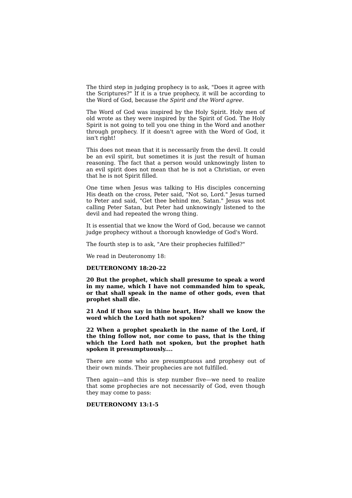The third step in judging prophecy is to ask, "Does it agree with the Scriptures?" If it is a true prophecy, it will be according to the Word of God, because *the Spirit and the Word agree.*

The Word of God was inspired by the Holy Spirit. Holy men of old wrote as they were inspired by the Spirit of God. The Holy Spirit is not going to tell you one thing in the Word and another through prophecy. If it doesn't agree with the Word of God, it isn't right!

This does not mean that it is necessarily from the devil. It could be an evil spirit, but sometimes it is just the result of human reasoning. The fact that a person would unknowingly listen to an evil spirit does not mean that he is not a Christian, or even that he is not Spirit filled.

One time when Jesus was talking to His disciples concerning His death on the cross, Peter said, "Not so, Lord." Jesus turned to Peter and said, "Get thee behind me, Satan." Jesus was not calling Peter Satan, but Peter had unknowingly listened to the devil and had repeated the wrong thing.

It is essential that we know the Word of God, because we cannot judge prophecy without a thorough knowledge of God's Word.

The fourth step is to ask, "Are their prophecies fulfilled?"

We read in Deuteronomy 18:

# **DEUTERONOMY 18:20-22**

**20 But the prophet, which shall presume to speak a word in my name, which I have not commanded him to speak, or that shall speak in the name of other gods, even that prophet shall die.**

**21 And if thou say in thine heart, How shall we know the word which the Lord hath not spoken?**

**22 When a prophet speaketh in the name of the Lord, if the thing follow not, nor come to pass, that is the thing which the Lord hath not spoken, but the prophet hath spoken it presumptuously....**

There are some who are presumptuous and prophesy out of their own minds. Their prophecies are not fulfilled.

Then again—and this is step number five—we need to realize that some prophecies are not necessarily of God, even though they may come to pass:

# **DEUTERONOMY 13:1-5**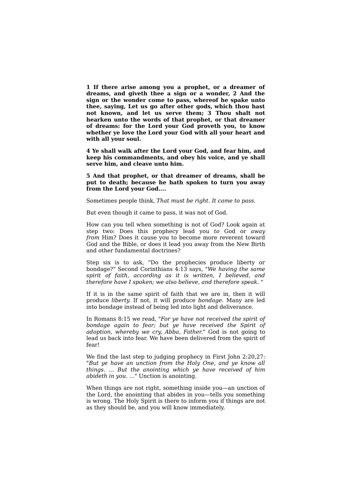**1 If there arise among you a prophet, or a dreamer of dreams, and giveth thee a sign or a wonder, 2 And the sign or the wonder come to pass, whereof he spake unto thee, saying, Let us go after other gods, which thou hast not known, and let us serve them; 3 Thou shalt not hearken unto the words of that prophet, or that dreamer of dreams: for the Lord your God proveth you, to know whether ye love the Lord your God with all your heart and with all your soul.**

**4 Ye shall walk after the Lord your God, and fear him, and keep his commandments, and obey his voice, and ye shall serve him, and cleave unto him.**

**5 And that prophet, or that dreamer of dreams, shall be put to death; because he hath spoken to turn you away from the Lord your God....**

Sometimes people think, *That must be right. It came to pass.*

But even though it came to pass, it was not of God.

How can you tell when something is not of God? Look again at step two: Does this prophecy lead you *to* God or *away from* Him? Does it cause you to become more reverent toward God and the Bible, or does it lead you away from the New Birth and other fundamental doctrines?

Step six is to ask, "Do the prophecies produce liberty or bondage?" Second Corinthians 4:13 says, *"We having the same spirit of faith, according as it is written, I believed, and therefore have I spoken; we also believe, and therefore speak.* "

If it is in the same spirit of faith that we are in, then it will produce *liberty.* If not, it will produce *bondage.* Many are led into bondage instead of being led into light and deliverance.

In Romans 8:15 we read, *"For ye have not received the spirit of bondage again to fear; but ye have received the Spirit of adoption, whereby we cry, Abba, Father."* God is not going to lead us back into fear. We have been delivered from the spirit of fear!

We find the last step to judging prophecy in First John 2:20,27: *"But ye have an unction from the Holy One, and ye know all things. ... But the anointing which ye have received of him abideth in you.* ..." Unction is anointing.

When things are not right, something inside you—an unction of the Lord, the anointing that abides in you—tells you something is wrong. The Holy Spirit is there to inform you if things are not as they should be, and you will know immediately.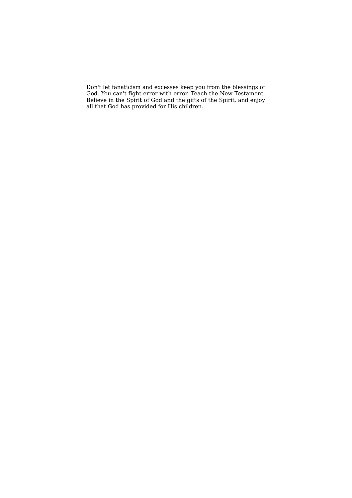Don't let fanaticism and excesses keep you from the blessings of God. You can't fight error with error. Teach the New Testament. Believe in the Spirit of God and the gifts of the Spirit, and enjoy all that God has provided for His children.